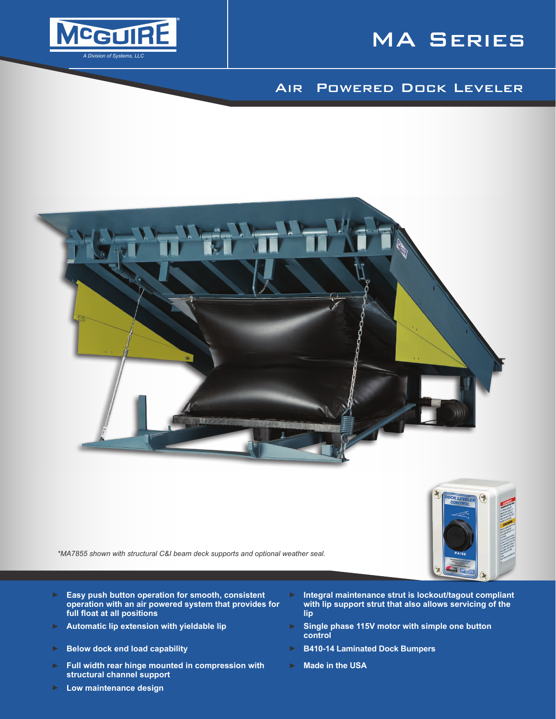







*\*MA7855 shown with structural C&I beam deck supports and optional weather seal.*

- ► **Easy push button operation for smooth, consistent operation with an air powered system that provides for full float at all positions**
- 
- 

**A Division of Systems, LL** 

VCGUIRE

- ► **Full width rear hinge mounted in compression with structural channel support**
- ► **Integral maintenance strut is lockout/tagout compliant with lip support strut that also allows servicing of the lip**
- ► **Automatic lip extension with yieldable lip** ► **Single phase 115V motor with simple one button control**
- ► **Below dock end load capability** ► **B410-14 Laminated Dock Bumpers**
	- ► **Made in the USA**

► **Low maintenance design**